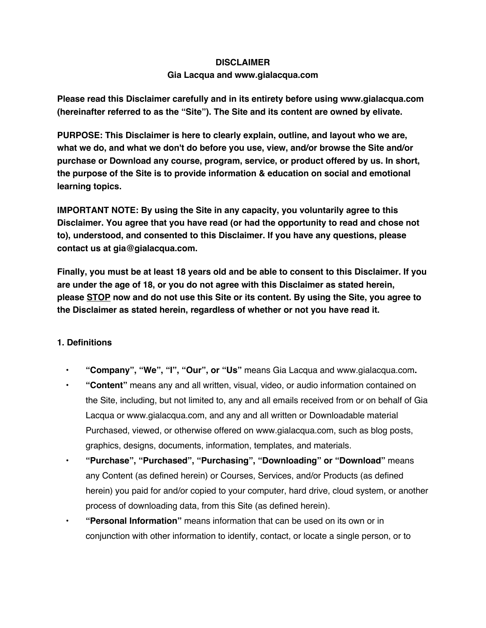### **DISCLAIMER**

## **Gia Lacqua and www.gialacqua.com**

**Please read this Disclaimer carefully and in its entirety before using www.gialacqua.com (hereinafter referred to as the "Site"). The Site and its content are owned by elivate.**

**PURPOSE: This Disclaimer is here to clearly explain, outline, and layout who we are, what we do, and what we don't do before you use, view, and/or browse the Site and/or purchase or Download any course, program, service, or product offered by us. In short, the purpose of the Site is to provide information & education on social and emotional learning topics.**

**IMPORTANT NOTE: By using the Site in any capacity, you voluntarily agree to this Disclaimer. You agree that you have read (or had the opportunity to read and chose not to), understood, and consented to this Disclaimer. If you have any questions, please contact us at gia@gialacqua.com.**

Finally, you must be at least 18 years old and be able to consent to this Disclaimer. If you **are under the age of 18, or you do not agree with this Disclaimer as stated herein, please STOP now and do not use this Site or its content. By using the Site, you agree to the Disclaimer as stated herein, regardless of whether or not you have read it.**

# **1. Definitions**

- **• "Company", "We", "I", "Our", or "Us"** means Gia Lacqua and www.gialacqua.com**.**
- **• "Content"** means any and all written, visual, video, or audio information contained on the Site, including, but not limited to, any and all emails received from or on behalf of Gia Lacqua or www.gialacqua.com, and any and all written or Downloadable material Purchased, viewed, or otherwise offered on www.gialacqua.com, such as blog posts, graphics, designs, documents, information, templates, and materials.
- **• "Purchase", "Purchased", "Purchasing", "Downloading" or "Download"** means any Content (as defined herein) or Courses, Services, and/or Products (as defined herein) you paid for and/or copied to your computer, hard drive, cloud system, or another process of downloading data, from this Site (as defined herein).
- **• "Personal Information"** means information that can be used on its own or in conjunction with other information to identify, contact, or locate a single person, or to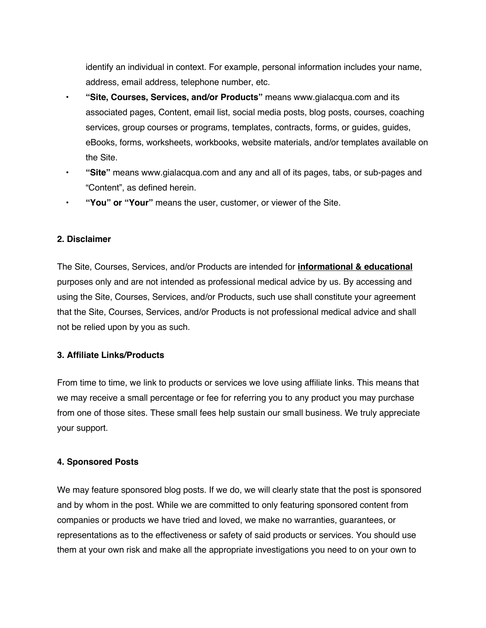identify an individual in context. For example, personal information includes your name, address, email address, telephone number, etc.

- **• "Site, Courses, Services, and/or Products"** means www.gialacqua.com and its associated pages, Content, email list, social media posts, blog posts, courses, coaching services, group courses or programs, templates, contracts, forms, or guides, guides, eBooks, forms, worksheets, workbooks, website materials, and/or templates available on the Site.
- **• "Site"** means www.gialacqua.com and any and all of its pages, tabs, or sub-pages and "Content", as defined herein.
- **• "You" or "Your"** means the user, customer, or viewer of the Site.

## **2. Disclaimer**

The Site, Courses, Services, and/or Products are intended for **informational & educational** purposes only and are not intended as professional medical advice by us. By accessing and using the Site, Courses, Services, and/or Products, such use shall constitute your agreement that the Site, Courses, Services, and/or Products is not professional medical advice and shall not be relied upon by you as such.

# **3. Affiliate Links/Products**

From time to time, we link to products or services we love using affiliate links. This means that we may receive a small percentage or fee for referring you to any product you may purchase from one of those sites. These small fees help sustain our small business. We truly appreciate your support.

## **4. Sponsored Posts**

We may feature sponsored blog posts. If we do, we will clearly state that the post is sponsored and by whom in the post. While we are committed to only featuring sponsored content from companies or products we have tried and loved, we make no warranties, guarantees, or representations as to the effectiveness or safety of said products or services. You should use them at your own risk and make all the appropriate investigations you need to on your own to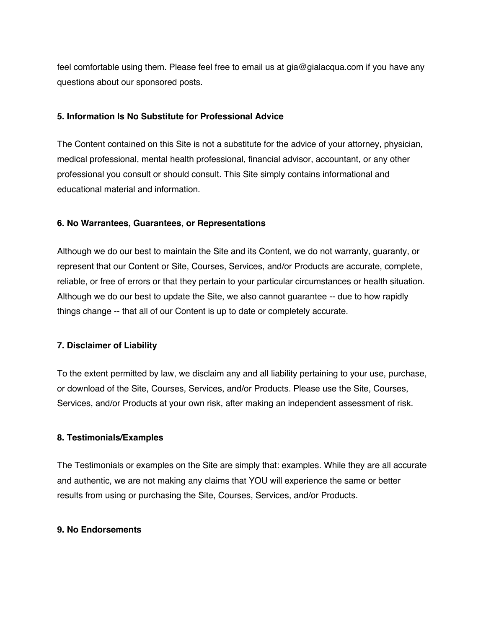feel comfortable using them. Please feel free to email us at gia@gialacqua.com if you have any questions about our sponsored posts.

### **5. Information Is No Substitute for Professional Advice**

The Content contained on this Site is not a substitute for the advice of your attorney, physician, medical professional, mental health professional, financial advisor, accountant, or any other professional you consult or should consult. This Site simply contains informational and educational material and information.

### **6. No Warrantees, Guarantees, or Representations**

Although we do our best to maintain the Site and its Content, we do not warranty, guaranty, or represent that our Content or Site, Courses, Services, and/or Products are accurate, complete, reliable, or free of errors or that they pertain to your particular circumstances or health situation. Although we do our best to update the Site, we also cannot guarantee -- due to how rapidly things change -- that all of our Content is up to date or completely accurate.

## **7. Disclaimer of Liability**

To the extent permitted by law, we disclaim any and all liability pertaining to your use, purchase, or download of the Site, Courses, Services, and/or Products. Please use the Site, Courses, Services, and/or Products at your own risk, after making an independent assessment of risk.

#### **8. Testimonials/Examples**

The Testimonials or examples on the Site are simply that: examples. While they are all accurate and authentic, we are not making any claims that YOU will experience the same or better results from using or purchasing the Site, Courses, Services, and/or Products.

#### **9. No Endorsements**